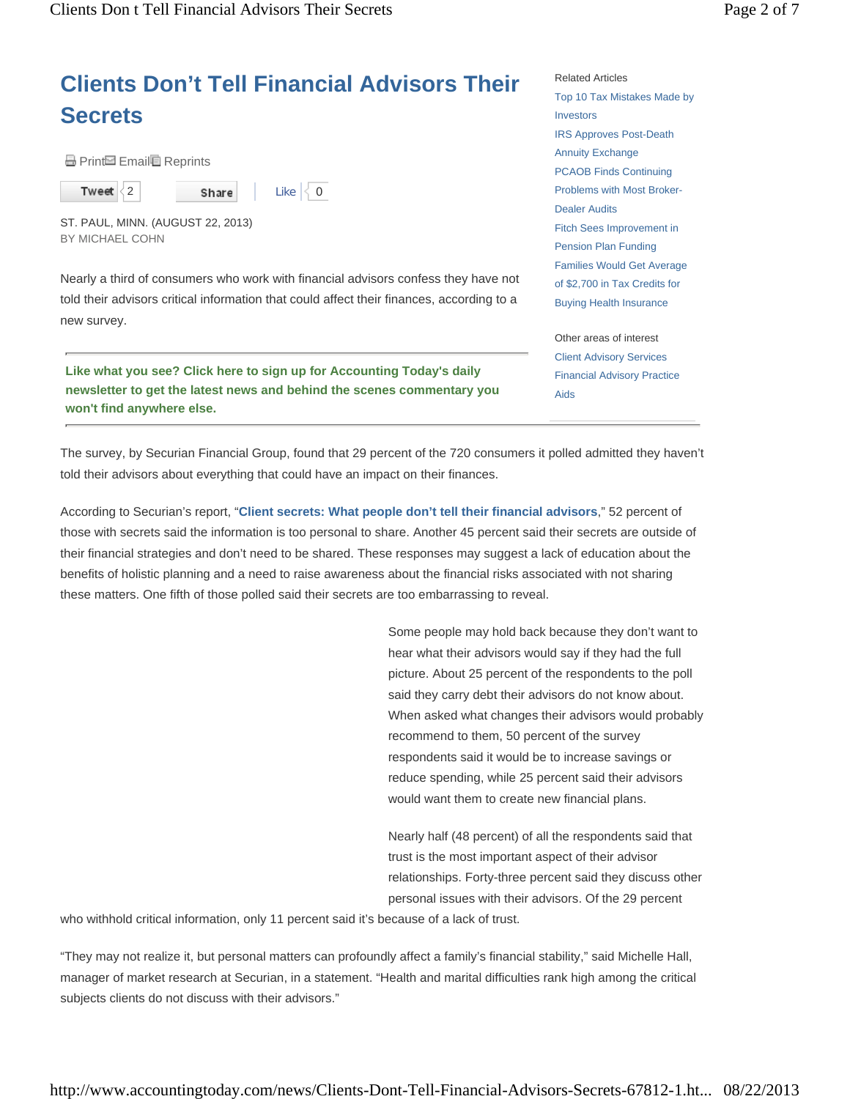Share

# **Clients Don't Tell Financial Advisors Their Secrets**

Like  $\vert \langle 0 \vert \vert$ 

**A** Print Email Reprints

 $\langle 2 \rangle$ 

Tweet

ST. PAUL, MINN. (AUGUST 22, 2013) BY MICHAEL COHN

Nearly a third of consumers who work with financial advisors confess they have not told their advisors critical information that could affect their finances, according to a new survey.

**Like what you see? Click here to sign up for Accounting Today's daily newsletter to get the latest news and behind the scenes commentary you won't find anywhere else.**

Related Articles Top 10 Tax Mistakes Made by Investors IRS Approves Post-Death Annuity Exchange PCAOB Finds Continuing Problems with Most Broker-Dealer Audits Fitch Sees Improvement in Pension Plan Funding Families Would Get Average of \$2,700 in Tax Credits for Buying Health Insurance

Other areas of interest Client Advisory Services Financial Advisory Practice Aids

The survey, by Securian Financial Group, found that 29 percent of the 720 consumers it polled admitted they haven't told their advisors about everything that could have an impact on their finances.

According to Securian's report, "**Client secrets: What people don't tell their financial advisors**," 52 percent of those with secrets said the information is too personal to share. Another 45 percent said their secrets are outside of their financial strategies and don't need to be shared. These responses may suggest a lack of education about the benefits of holistic planning and a need to raise awareness about the financial risks associated with not sharing these matters. One fifth of those polled said their secrets are too embarrassing to reveal.

> Some people may hold back because they don't want to hear what their advisors would say if they had the full picture. About 25 percent of the respondents to the poll said they carry debt their advisors do not know about. When asked what changes their advisors would probably recommend to them, 50 percent of the survey respondents said it would be to increase savings or reduce spending, while 25 percent said their advisors would want them to create new financial plans.

> Nearly half (48 percent) of all the respondents said that trust is the most important aspect of their advisor relationships. Forty-three percent said they discuss other personal issues with their advisors. Of the 29 percent

who withhold critical information, only 11 percent said it's because of a lack of trust.

"They may not realize it, but personal matters can profoundly affect a family's financial stability," said Michelle Hall, manager of market research at Securian, in a statement. "Health and marital difficulties rank high among the critical subjects clients do not discuss with their advisors."